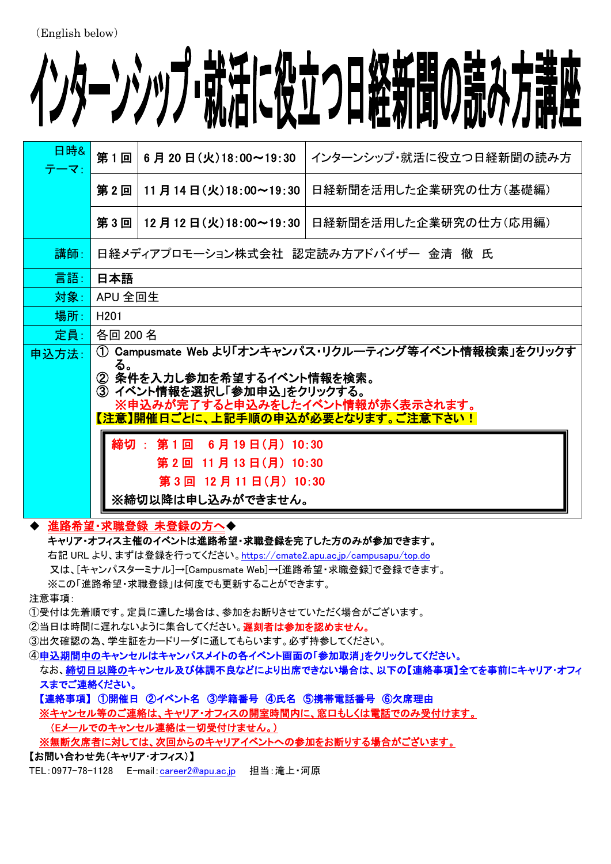# (English below)

# インターンシップ・就活に役立つ日経新聞の読み方講座

| 日時&<br>テーマ: | 第1回                                                                                                                                                                                                                                                                                                                         | 6月20日(火)18:00~19:30        | インターンシップ・就活に役立つ日経新聞の読み方 |  |
|-------------|-----------------------------------------------------------------------------------------------------------------------------------------------------------------------------------------------------------------------------------------------------------------------------------------------------------------------------|----------------------------|-------------------------|--|
|             | 第2回                                                                                                                                                                                                                                                                                                                         | 11 月 14 日 (火) 18:00~19:30  | 日経新聞を活用した企業研究の仕方(基礎編)   |  |
|             | 第3回                                                                                                                                                                                                                                                                                                                         | │12 月 12 日 (火)18:00~19:30│ | 日経新聞を活用した企業研究の仕方(応用編)   |  |
| 講師:         | 日経メディアプロモーション株式会社 認定読み方アドバイザー 金清 徹 氏                                                                                                                                                                                                                                                                                        |                            |                         |  |
| 言語:         | 日本語                                                                                                                                                                                                                                                                                                                         |                            |                         |  |
| 対象:         | APU 全回生                                                                                                                                                                                                                                                                                                                     |                            |                         |  |
| 場所:         | H <sub>201</sub>                                                                                                                                                                                                                                                                                                            |                            |                         |  |
| 定員:         | 各回 200 名                                                                                                                                                                                                                                                                                                                    |                            |                         |  |
| 申込方法:       | Campusmate Web より「オンキャンパス・リクルーティング等イベント情報検索」をクリックす<br>(1)<br>る。<br>② 条件を入力し参加を希望するイベント情報を検索。<br>③ イベント情報を選択し「参加申込」をクリックする。<br>※申込みが完了すると申込みをしたイベント情報が赤く表示されます。<br>【注意】開催日ごとに、上記手順の申込が必要となります。ご注意下さい!<br>締切 :<br>第1回<br>$6$ 月 19 日 $(H)$ 10:30<br>第 2 回 11 月 13 日(月) 10:30<br>第 3 回 12 月 11 日 (月) 10:30<br>※締切以降は申し込みができません。 |                            |                         |  |
|             |                                                                                                                                                                                                                                                                                                                             |                            |                         |  |

## 進路希望・求職登録 未登録の方へ◆

キャリア・オフィス主催のイベントは進路希望・求職登録を完了した方のみが参加できます。

右記 URL より、まずは登録を行ってください。<https://cmate2.apu.ac.jp/campusapu/top.do>

又は、[キャンパスターミナル]→[Campusmate Web]→[進路希望・求職登録]で登録できます。

※この「進路希望・求職登録」は何度でも更新することができます。

注意事項:

①受付は先着順です。定員に達した場合は、参加をお断りさせていただく場合がございます。

②当日は時間に遅れないように集合してください。遅刻者は参加を認めません。

③出欠確認の為、学生証をカードリーダに通してもらいます。必ず持参してください。

④申込期間中のキャンセルはキャンパスメイトの各イベント画面の「参加取消」をクリックしてください。

なお、締切日以降のキャンセル及び体調不良などにより出席できない場合は、以下の【連絡事項】全てを事前にキャリア・オフィ スまでご連絡ください。

【連絡事項】 ①開催日 ②イベント名 ③学籍番号 ④氏名 ⑤携帯電話番号 ⑥欠席理由

※キャンセル等のご連絡は、キャリア・オフィスの開室時間内に、窓口もしくは電話でのみ受付けます。

(Eメールでのキャンセル連絡は一切受付けません。)

※無断欠席者に対しては、次回からのキャリアイベントへの参加をお断りする場合がございます。

【お問い合わせ先(キャリア・オフィス)】

TEL:0977-78-1128 E-mail:[career2@apu.ac.jp](mailto:career2@apu.ac.jp) 担当:滝上·河原